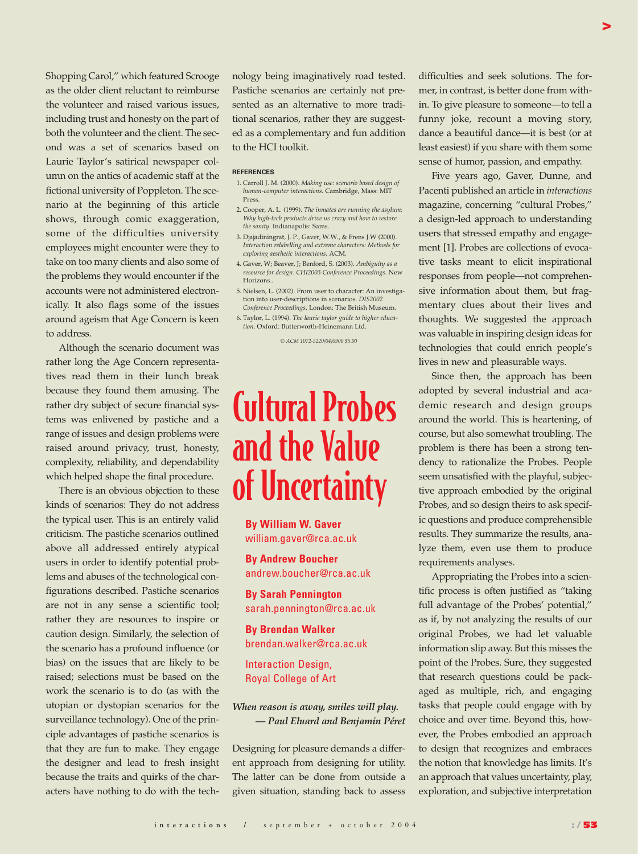Shopping Carol," which featured Scrooge as the older client reluctant to reimburse the volunteer and raised various issues, including trust and honesty on the part of both the volunteer and the client. The second was a set of scenarios based on Laurie Taylor's satirical newspaper column on the antics of academic staff at the fictional university of Poppleton. The scenario at the beginning of this article shows, through comic exaggeration, some of the difficulties university employees might encounter were they to take on too many clients and also some of the problems they would encounter if the accounts were not administered electronically. It also flags some of the issues around ageism that Age Concern is keen to address.

Although the scenario document was rather long the Age Concern representatives read them in their lunch break because they found them amusing. The rather dry subject of secure financial systems was enlivened by pastiche and a range of issues and design problems were raised around privacy, trust, honesty, complexity, reliability, and dependability which helped shape the final procedure.

There is an obvious objection to these kinds of scenarios: They do not address the typical user. This is an entirely valid criticism. The pastiche scenarios outlined above all addressed entirely atypical users in order to identify potential problems and abuses of the technological configurations described. Pastiche scenarios are not in any sense a scientific tool; rather they are resources to inspire or caution design. Similarly, the selection of the scenario has a profound influence (or bias) on the issues that are likely to be raised; selections must be based on the work the scenario is to do (as with the utopian or dystopian scenarios for the surveillance technology). One of the principle advantages of pastiche scenarios is that they are fun to make. They engage the designer and lead to fresh insight because the traits and quirks of the characters have nothing to do with the tech-

nology being imaginatively road tested. Pastiche scenarios are certainly not presented as an alternative to more traditional scenarios, rather they are suggested as a complementary and fun addition to the HCI toolkit.

#### **REFERENCES**

- 1. Carroll J. M. (2000). *Making use: scenario based design of human-computer interactions*. Cambridge, Mass: MIT Press.
- 2. Cooper, A. L. (1999). *The inmates are running the asylum: Why high-tech products drive us crazy and how to restore the sanity*. Indianapolis: Sams.
- 3. Djajadiningrat, J. P., Gaver, W.W., & Frens J.W (2000). *Interaction relabelling and extreme characters: Methods for exploring aesthetic interactions*. ACM.
- 4. Gaver, W; Beaver, J; Benford, S. (2003). *Ambiguity as a resource for design. CHI2003 Conference Proceedings*. New Horizons.
- 5. Nielsen, L. (2002). From user to character: An investigation into user-descriptions in scenarios. *DIS2002 Conference Proceedings*. London: The British Museum.
- 6. Taylor, L. (1994). *The laurie taylor guide to higher education*. Oxford: Butterworth-Heinemann Ltd.

*© ACM 1072-5220/04/0900 \$5.00*

# Cultural Probes and the Value of Uncertainty

**By William W. Gaver** william.gaver@rca.ac.uk

**By Andrew Boucher** andrew.boucher@rca.ac.uk

**By Sarah Pennington** sarah.pennington@rca.ac.uk

**By Brendan Walker** brendan.walker@rca.ac.uk

Interaction Design, Royal College of Art

*When reason is away, smiles will play. — Paul Eluard and Benjamin Péret*

Designing for pleasure demands a different approach from designing for utility. The latter can be done from outside a given situation, standing back to assess difficulties and seek solutions. The former, in contrast, is better done from within. To give pleasure to someone—to tell a funny joke, recount a moving story, dance a beautiful dance—it is best (or at least easiest) if you share with them some sense of humor, passion, and empathy.

>

Five years ago, Gaver, Dunne, and Pacenti published an article in *interactions* magazine, concerning "cultural Probes," a design-led approach to understanding users that stressed empathy and engagement [1]. Probes are collections of evocative tasks meant to elicit inspirational responses from people—not comprehensive information about them, but fragmentary clues about their lives and thoughts. We suggested the approach was valuable in inspiring design ideas for technologies that could enrich people's lives in new and pleasurable ways.

Since then, the approach has been adopted by several industrial and academic research and design groups around the world. This is heartening, of course, but also somewhat troubling. The problem is there has been a strong tendency to rationalize the Probes. People seem unsatisfied with the playful, subjective approach embodied by the original Probes, and so design theirs to ask specific questions and produce comprehensible results. They summarize the results, analyze them, even use them to produce requirements analyses.

Appropriating the Probes into a scientific process is often justified as "taking full advantage of the Probes' potential," as if, by not analyzing the results of our original Probes, we had let valuable information slip away. But this misses the point of the Probes. Sure, they suggested that research questions could be packaged as multiple, rich, and engaging tasks that people could engage with by choice and over time. Beyond this, however, the Probes embodied an approach to design that recognizes and embraces the notion that knowledge has limits. It's an approach that values uncertainty, play, exploration, and subjective interpretation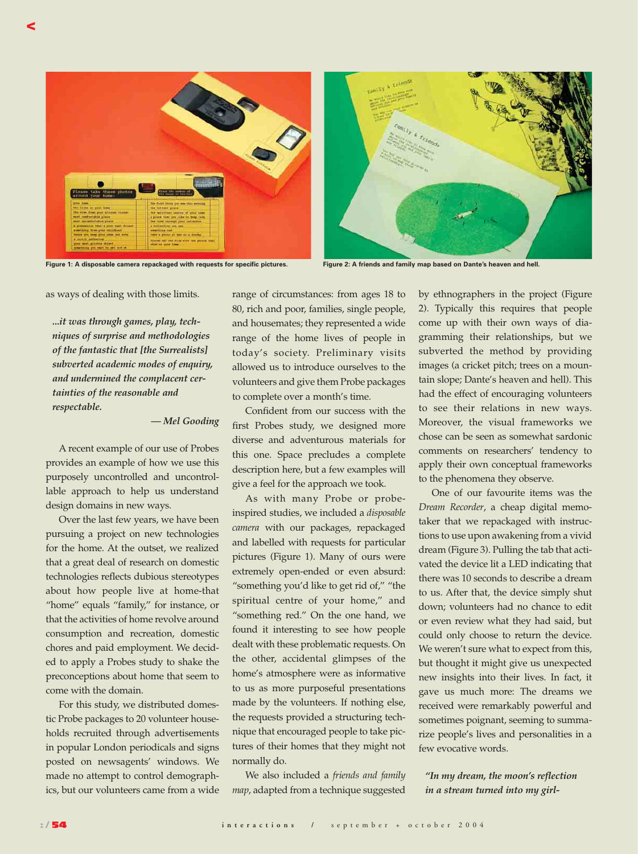

**Figure 1: A disposable camera repackaged with requests for specific pictures. Figure 2: A friends and family map based on Dante's heaven and hell.**



as ways of dealing with those limits.

*...it was through games, play, techniques of surprise and methodologies of the fantastic that [the Surrealists] subverted academic modes of enquiry, and undermined the complacent certainties of the reasonable and respectable.*

### *— Mel Gooding*

A recent example of our use of Probes provides an example of how we use this purposely uncontrolled and uncontrollable approach to help us understand design domains in new ways.

Over the last few years, we have been pursuing a project on new technologies for the home. At the outset, we realized that a great deal of research on domestic technologies reflects dubious stereotypes about how people live at home-that "home" equals "family," for instance, or that the activities of home revolve around consumption and recreation, domestic chores and paid employment. We decided to apply a Probes study to shake the preconceptions about home that seem to come with the domain.

For this study, we distributed domestic Probe packages to 20 volunteer households recruited through advertisements in popular London periodicals and signs posted on newsagents' windows. We made no attempt to control demographics, but our volunteers came from a wide range of circumstances: from ages 18 to 80, rich and poor, families, single people, and housemates; they represented a wide range of the home lives of people in today's society. Preliminary visits allowed us to introduce ourselves to the volunteers and give them Probe packages to complete over a month's time.

Confident from our success with the first Probes study, we designed more diverse and adventurous materials for this one. Space precludes a complete description here, but a few examples will give a feel for the approach we took.

As with many Probe or probeinspired studies, we included a *disposable camera* with our packages, repackaged and labelled with requests for particular pictures (Figure 1). Many of ours were extremely open-ended or even absurd: "something you'd like to get rid of," "the spiritual centre of your home," and "something red." On the one hand, we found it interesting to see how people dealt with these problematic requests. On the other, accidental glimpses of the home's atmosphere were as informative to us as more purposeful presentations made by the volunteers. If nothing else, the requests provided a structuring technique that encouraged people to take pictures of their homes that they might not normally do.

We also included a *friends and family map*, adapted from a technique suggested

by ethnographers in the project (Figure 2). Typically this requires that people come up with their own ways of diagramming their relationships, but we subverted the method by providing images (a cricket pitch; trees on a mountain slope; Dante's heaven and hell). This had the effect of encouraging volunteers to see their relations in new ways. Moreover, the visual frameworks we chose can be seen as somewhat sardonic comments on researchers' tendency to apply their own conceptual frameworks to the phenomena they observe.

One of our favourite items was the *Dream Recorder*, a cheap digital memotaker that we repackaged with instructions to use upon awakening from a vivid dream (Figure 3). Pulling the tab that activated the device lit a LED indicating that there was 10 seconds to describe a dream to us. After that, the device simply shut down; volunteers had no chance to edit or even review what they had said, but could only choose to return the device. We weren't sure what to expect from this, but thought it might give us unexpected new insights into their lives. In fact, it gave us much more: The dreams we received were remarkably powerful and sometimes poignant, seeming to summarize people's lives and personalities in a few evocative words.

*"In my dream, the moon's reflection in a stream turned into my girl-*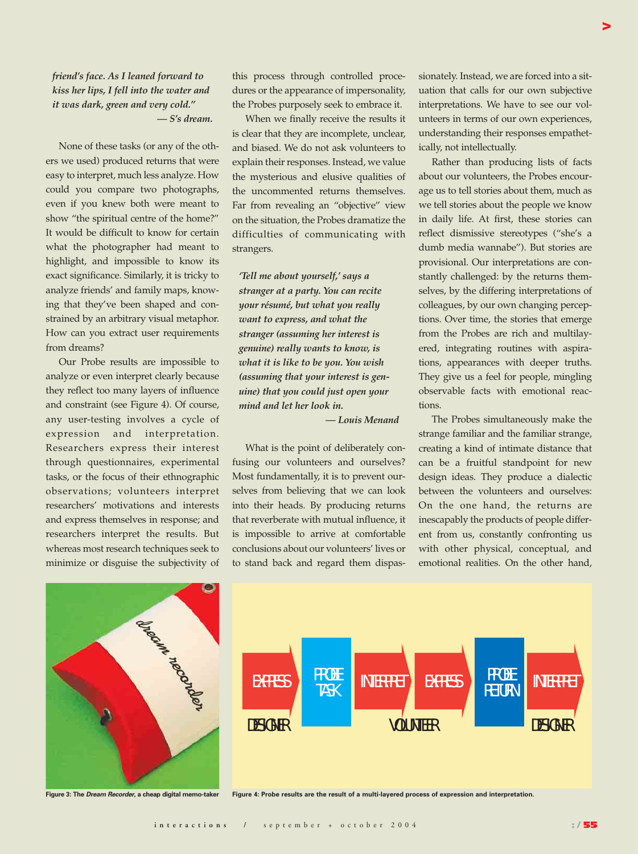## *friend's face. As I leaned forward to kiss her lips, I fell into the water and it was dark, green and very cold." — S's dream.*

None of these tasks (or any of the others we used) produced returns that were easy to interpret, much less analyze. How could you compare two photographs, even if you knew both were meant to show "the spiritual centre of the home?" It would be difficult to know for certain what the photographer had meant to highlight, and impossible to know its exact significance. Similarly, it is tricky to analyze friends' and family maps, knowing that they've been shaped and constrained by an arbitrary visual metaphor. How can you extract user requirements from dreams?

Our Probe results are impossible to analyze or even interpret clearly because they reflect too many layers of influence and constraint (see Figure 4). Of course, any user-testing involves a cycle of expression and interpretation. Researchers express their interest through questionnaires, experimental tasks, or the focus of their ethnographic observations; volunteers interpret researchers' motivations and interests and express themselves in response; and researchers interpret the results. But whereas most research techniques seek to minimize or disguise the subjectivity of

this process through controlled procedures or the appearance of impersonality, the Probes purposely seek to embrace it.

When we finally receive the results it is clear that they are incomplete, unclear, and biased. We do not ask volunteers to explain their responses. Instead, we value the mysterious and elusive qualities of the uncommented returns themselves. Far from revealing an "objective" view on the situation, the Probes dramatize the difficulties of communicating with strangers.

*'Tell me about yourself,' says a stranger at a party. You can recite your résumé, but what you really want to express, and what the stranger (assuming her interest is genuine) really wants to know, is what it is like to be you. You wish (assuming that your interest is genuine) that you could just open your mind and let her look in.* 

*— Louis Menand*

What is the point of deliberately confusing our volunteers and ourselves? Most fundamentally, it is to prevent ourselves from believing that we can look into their heads. By producing returns that reverberate with mutual influence, it is impossible to arrive at comfortable conclusions about our volunteers' lives or to stand back and regard them dispassionately. Instead, we are forced into a situation that calls for our own subjective interpretations. We have to see our volunteers in terms of our own experiences, understanding their responses empathetically, not intellectually.

>

Rather than producing lists of facts about our volunteers, the Probes encourage us to tell stories about them, much as we tell stories about the people we know in daily life. At first, these stories can reflect dismissive stereotypes ("she's a dumb media wannabe"). But stories are provisional. Our interpretations are constantly challenged: by the returns themselves, by the differing interpretations of colleagues, by our own changing perceptions. Over time, the stories that emerge from the Probes are rich and multilayered, integrating routines with aspirations, appearances with deeper truths. They give us a feel for people, mingling observable facts with emotional reactions.

The Probes simultaneously make the strange familiar and the familiar strange, creating a kind of intimate distance that can be a fruitful standpoint for new design ideas. They produce a dialectic between the volunteers and ourselves: On the one hand, the returns are inescapably the products of people different from us, constantly confronting us with other physical, conceptual, and emotional realities. On the other hand,





**Figure 3: The** *Dream Recorder***, a cheap digital memo-taker Figure 4: Probe results are the result of a multi-layered process of expression and interpretation.**